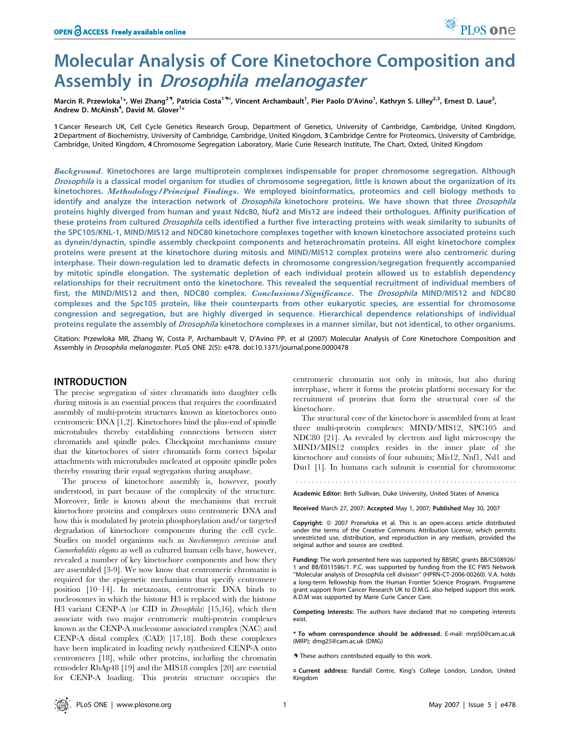# Molecular Analysis of Core Kinetochore Composition and Assembly in Drosophila melanogaster

Marcin R. Przewloka<sup>1</sup>\*, Wei Zhang<sup>29</sup>, Patricia Costa<sup>19¤,</sup> Vincent Archambault<sup>1</sup>, Pier Paolo D'Avino<sup>1</sup>, Kathryn S. Lilley<sup>2,3</sup>, Ernest D. Laue<sup>2</sup>, Andrew D. McAinsh<sup>4</sup>, David M. Glover<sup>1</sup>\*

1 Cancer Research UK, Cell Cycle Genetics Research Group, Department of Genetics, University of Cambridge, Cambridge, United Kingdom, 2Department of Biochemistry, University of Cambridge, Cambridge, United Kingdom, 3 Cambridge Centre for Proteomics, University of Cambridge, Cambridge, United Kingdom, 4 Chromosome Segregation Laboratory, Marie Curie Research Institute, The Chart, Oxted, United Kingdom

Background. Kinetochores are large multiprotein complexes indispensable for proper chromosome segregation. Although Drosophila is a classical model organism for studies of chromosome segregation, little is known about the organization of its kinetochores. Methodology/Principal Findings. We employed bioinformatics, proteomics and cell biology methods to identify and analyze the interaction network of Drosophila kinetochore proteins. We have shown that three Drosophila proteins highly diverged from human and yeast Ndc80, Nuf2 and Mis12 are indeed their orthologues. Affinity purification of these proteins from cultured Drosophila cells identified a further five interacting proteins with weak similarity to subunits of the SPC105/KNL-1, MIND/MIS12 and NDC80 kinetochore complexes together with known kinetochore associated proteins such as dynein/dynactin, spindle assembly checkpoint components and heterochromatin proteins. All eight kinetochore complex proteins were present at the kinetochore during mitosis and MIND/MIS12 complex proteins were also centromeric during interphase. Their down-regulation led to dramatic defects in chromosome congression/segregation frequently accompanied by mitotic spindle elongation. The systematic depletion of each individual protein allowed us to establish dependency relationships for their recruitment onto the kinetochore. This revealed the sequential recruitment of individual members of first, the MIND/MIS12 and then, NDC80 complex. Conclusions/Significance. The Drosophila MIND/MIS12 and NDC80 complexes and the Spc105 protein, like their counterparts from other eukaryotic species, are essential for chromosome congression and segregation, but are highly diverged in sequence. Hierarchical dependence relationships of individual proteins regulate the assembly of *Drosophila* kinetochore complexes in a manner similar, but not identical, to other organisms.

Citation: Przewloka MR, Zhang W, Costa P, Archambault V, D'Avino PP, et al (2007) Molecular Analysis of Core Kinetochore Composition and Assembly in Drosophila melanogaster. PLoS ONE 2(5): e478. doi:10.1371/journal.pone.0000478

## INTRODUCTION

The precise segregation of sister chromatids into daughter cells during mitosis is an essential process that requires the coordinated assembly of multi-protein structures known as kinetochores onto centromeric DNA [1,2]. Kinetochores bind the plus-end of spindle microtubules thereby establishing connections between sister chromatids and spindle poles. Checkpoint mechanisms ensure that the kinetochores of sister chromatids form correct bipolar attachments with microtubules nucleated at opposite spindle poles thereby ensuring their equal segregation during anaphase.

The process of kinetochore assembly is, however, poorly understood, in part because of the complexity of the structure. Moreover, little is known about the mechanisms that recruit kinetochore proteins and complexes onto centromeric DNA and how this is modulated by protein phosphorylation and/or targeted degradation of kinetochore components during the cell cycle. Studies on model organisms such as Saccharomyces cerevisiae and Caenorhabditis elegans as well as cultured human cells have, however, revealed a number of key kinetochore components and how they are assembled [3-9]. We now know that centromeric chromatin is required for the epigenetic mechanisms that specify centromere position [10–14]. In metazoans, centromeric DNA binds to nucleosomes in which the histone H3 is replaced with the histone H3 variant CENP-A (or CID in Drosophila) [15,16], which then associate with two major centromeric multi-protein complexes known as the CENP-A nucleosome associated complex (NAC) and CENP-A distal complex (CAD) [17,18]. Both these complexes have been implicated in loading newly synthesized CENP-A onto centromeres [18], while other proteins, including the chromatin remodeler RbAp48 [19] and the MIS18 complex [20] are essential for CENP-A loading. This protein structure occupies the centromeric chromatin not only in mitosis, but also during interphase, where it forms the protein platform necessary for the recruitment of proteins that form the structural core of the kinetochore.

The structural core of the kinetochore is assembled from at least three multi-protein complexes: MIND/MIS12, SPC105 and NDC80 [21]. As revealed by electron and light microscopy the MIND/MIS12 complex resides in the inner plate of the kinetochore and consists of four subunits; Mis12, Nnf1, Nsl1 and Dsn1 [1]. In humans each subunit is essential for chromosome

Academic Editor: Beth Sullivan, Duke University, United States of America

Received March 27, 2007; Accepted May 1, 2007; Published May 30, 2007

Copyright: © 2007 Przewloka et al. This is an open-access article distributed under the terms of the Creative Commons Attribution License, which permits unrestricted use, distribution, and reproduction in any medium, provided the original author and source are credited.

Funding: The work presented here was supported by BBSRC grants BB/C508926/ 1 and BB/E011586/1. P.C. was supported by funding from the EC FW5 Network ''Molecular analysis of Drosophila cell division'' (HPRN-CT-2006-00260). V.A. holds a long-term fellowship from the Human Frontier Science Program. Programme grant support from Cancer Research UK to D.M.G. also helped support this work. A.D.M was supported by Marie Curie Cancer Care.

Competing Interests: The authors have declared that no competing interests exist.

\* To whom correspondence should be addressed. E-mail: mrp50@cam.ac.uk (MRP); dmg25@cam.ac.uk (DMG)

. These authors contributed equally to this work.

¤ Current address: Randall Centre, King's College London, London, United Kingdom

<sup>O</sup>PLoSone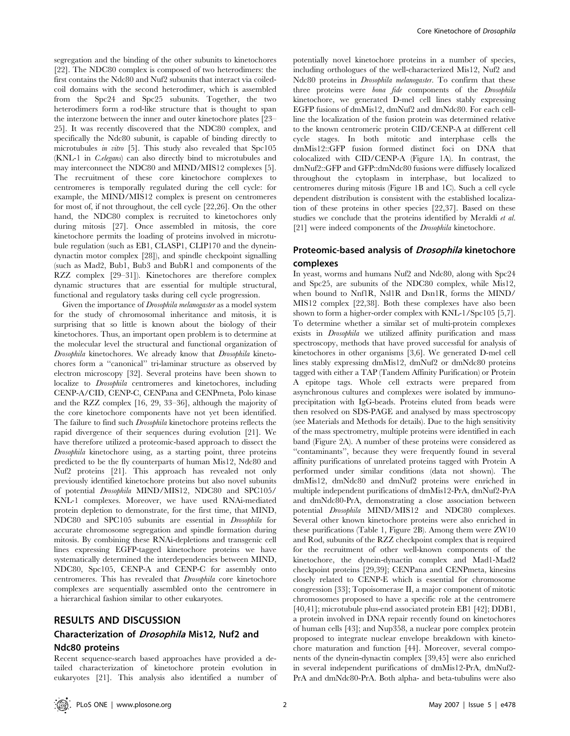segregation and the binding of the other subunits to kinetochores [22]. The NDC80 complex is composed of two heterodimers: the first contains the Ndc80 and Nuf2 subunits that interact via coiledcoil domains with the second heterodimer, which is assembled from the Spc24 and Spc25 subunits. Together, the two heterodimers form a rod-like structure that is thought to span the interzone between the inner and outer kinetochore plates [23– 25]. It was recently discovered that the NDC80 complex, and specifically the Ndc80 subunit, is capable of binding directly to microtubules in vitro [5]. This study also revealed that Spc105 (KNL-1 in C.elegans) can also directly bind to microtubules and may interconnect the NDC80 and MIND/MIS12 complexes [5]. The recruitment of these core kinetochore complexes to centromeres is temporally regulated during the cell cycle: for example, the MIND/MIS12 complex is present on centromeres for most of, if not throughout, the cell cycle [22,26]. On the other hand, the NDC80 complex is recruited to kinetochores only during mitosis [27]. Once assembled in mitosis, the core kinetochore permits the loading of proteins involved in microtubule regulation (such as EB1, CLASP1, CLIP170 and the dyneindynactin motor complex [28]), and spindle checkpoint signalling (such as Mad2, Bub1, Bub3 and BubR1 and components of the RZZ complex [29–31]). Kinetochores are therefore complex dynamic structures that are essential for multiple structural, functional and regulatory tasks during cell cycle progression.

Given the importance of *Drosophila melanogaster* as a model system for the study of chromosomal inheritance and mitosis, it is surprising that so little is known about the biology of their kinetochores. Thus, an important open problem is to determine at the molecular level the structural and functional organization of Drosophila kinetochores. We already know that Drosophila kinetochores form a ''canonical'' tri-laminar structure as observed by electron microscopy [32]. Several proteins have been shown to localize to Drosophila centromeres and kinetochores, including CENP-A/CID, CENP-C, CENPana and CENPmeta, Polo kinase and the RZZ complex [16, 29, 33–36], although the majority of the core kinetochore components have not yet been identified. The failure to find such Drosophila kinetochore proteins reflects the rapid divergence of their sequences during evolution [21]. We have therefore utilized a proteomic-based approach to dissect the Drosophila kinetochore using, as a starting point, three proteins predicted to be the fly counterparts of human Mis12, Ndc80 and Nuf2 proteins [21]. This approach has revealed not only previously identified kinetochore proteins but also novel subunits of potential Drosophila MIND/MIS12, NDC80 and SPC105/ KNL-1 complexes. Moreover, we have used RNAi-mediated protein depletion to demonstrate, for the first time, that MIND, NDC80 and SPC105 subunits are essential in Drosophila for accurate chromosome segregation and spindle formation during mitosis. By combining these RNAi-depletions and transgenic cell lines expressing EGFP-tagged kinetochore proteins we have systematically determined the interdependencies between MIND, NDC80, Spc105, CENP-A and CENP-C for assembly onto centromeres. This has revealed that Drosophila core kinetochore complexes are sequentially assembled onto the centromere in a hierarchical fashion similar to other eukaryotes.

## RESULTS AND DISCUSSION

# Characterization of Drosophila Mis12, Nuf2 and Ndc80 proteins

Recent sequence-search based approaches have provided a detailed characterization of kinetochore protein evolution in eukaryotes [21]. This analysis also identified a number of potentially novel kinetochore proteins in a number of species, including orthologues of the well-characterized Mis12, Nuf2 and Ndc80 proteins in Drosophila melanogaster. To confirm that these three proteins were bona fide components of the Drosophila kinetochore, we generated D-mel cell lines stably expressing EGFP fusions of dmMis12, dmNuf2 and dmNdc80. For each cellline the localization of the fusion protein was determined relative to the known centromeric protein CID/CENP-A at different cell cycle stages. In both mitotic and interphase cells the dmMis12::GFP fusion formed distinct foci on DNA that colocalized with CID/CENP-A (Figure 1A). In contrast, the dmNuf2::GFP and GFP::dmNdc80 fusions were diffusely localized throughout the cytoplasm in interphase, but localized to centromeres during mitosis (Figure 1B and 1C). Such a cell cycle dependent distribution is consistent with the established localization of these proteins in other species [22,37]. Based on these studies we conclude that the proteins identified by Meraldi et al. [21] were indeed components of the *Drosophila* kinetochore.

# Proteomic-based analysis of *Drosophila* kinetochore complexes

In yeast, worms and humans Nuf2 and Ndc80, along with Spc24 and Spc25, are subunits of the NDC80 complex, while Mis12, when bound to Nnf1R, Nsl1R and Dsn1R, forms the MIND/ MIS12 complex [22,38]. Both these complexes have also been shown to form a higher-order complex with KNL-1/Spc105 [5,7]. To determine whether a similar set of multi-protein complexes exists in Drosophila we utilized affinity purification and mass spectroscopy, methods that have proved successful for analysis of kinetochores in other organisms [3,6]. We generated D-mel cell lines stably expressing dmMis12, dmNuf2 or dmNdc80 proteins tagged with either a TAP (Tandem Affinity Purification) or Protein A epitope tags. Whole cell extracts were prepared from asynchronous cultures and complexes were isolated by immunoprecipitation with IgG-beads. Proteins eluted from beads were then resolved on SDS-PAGE and analysed by mass spectroscopy (see Materials and Methods for details). Due to the high sensitivity of the mass spectrometry, multiple proteins were identified in each band (Figure 2A). A number of these proteins were considered as ''contaminants'', because they were frequently found in several affinity purifications of unrelated proteins tagged with Protein A performed under similar conditions (data not shown). The dmMis12, dmNdc80 and dmNuf2 proteins were enriched in multiple independent purifications of dmMis12-PrA, dmNuf2-PrA and dmNdc80-PrA, demonstrating a close association between potential Drosophila MIND/MIS12 and NDC80 complexes. Several other known kinetochore proteins were also enriched in these purifications (Table 1, Figure 2B). Among them were ZW10 and Rod, subunits of the RZZ checkpoint complex that is required for the recruitment of other well-known components of the kinetochore, the dynein-dynactin complex and Mad1-Mad2 checkpoint proteins [29,39]; CENPana and CENPmeta, kinesins closely related to CENP-E which is essential for chromosome congression [33]; Topoisomerase II, a major component of mitotic chromosomes proposed to have a specific role at the centromere [40,41]; microtubule plus-end associated protein EB1 [42]; DDB1, a protein involved in DNA repair recently found on kinetochores of human cells [43]; and Nup358, a nuclear pore complex protein proposed to integrate nuclear envelope breakdown with kinetochore maturation and function [44]. Moreover, several components of the dynein-dynactin complex [39,45] were also enriched in several independent purifications of dmMis12-PrA, dmNuf2- PrA and dmNdc80-PrA. Both alpha- and beta-tubulins were also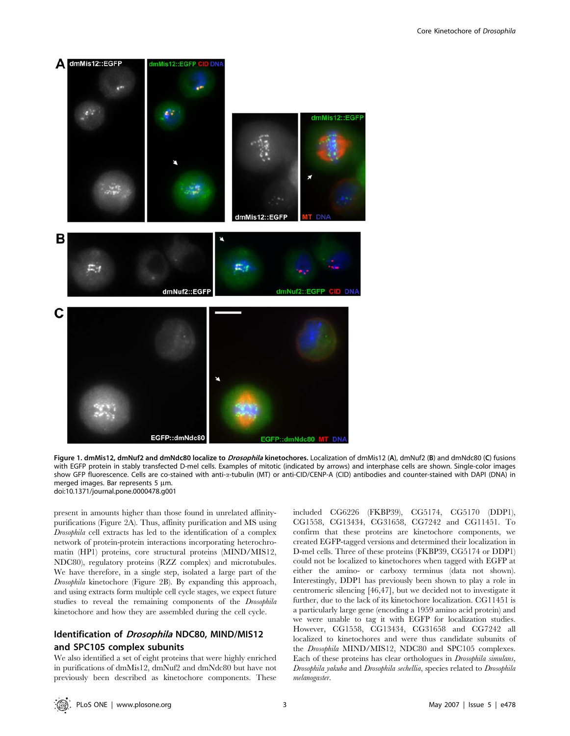

Figure 1. dmMis12, dmNuf2 and dmNdc80 localize to *Drosophila* kinetochores. Localization of dmMis12 (A), dmNuf2 (B) and dmNdc80 (C) fusions with EGFP protein in stably transfected D-mel cells. Examples of mitotic (indicated by arrows) and interphase cells are shown. Single-color images show GFP fluorescence. Cells are co-stained with anti-a-tubulin (MT) or anti-CID/CENP-A (CID) antibodies and counter-stained with DAPI (DNA) in merged images. Bar represents  $5 \mu m$ . doi:10.1371/journal.pone.0000478.g001

present in amounts higher than those found in unrelated affinitypurifications (Figure 2A). Thus, affinity purification and MS using Drosophila cell extracts has led to the identification of a complex network of protein-protein interactions incorporating heterochromatin (HP1) proteins, core structural proteins (MIND/MIS12, NDC80), regulatory proteins (RZZ complex) and microtubules. We have therefore, in a single step, isolated a large part of the Drosophila kinetochore (Figure 2B). By expanding this approach, and using extracts form multiple cell cycle stages, we expect future studies to reveal the remaining components of the Drosophila kinetochore and how they are assembled during the cell cycle.

# Identification of *Drosophila* NDC80, MIND/MIS12 and SPC105 complex subunits

We also identified a set of eight proteins that were highly enriched in purifications of dmMis12, dmNuf2 and dmNdc80 but have not previously been described as kinetochore components. These

included CG6226 (FKBP39), CG5174, CG5170 (DDP1), CG1558, CG13434, CG31658, CG7242 and CG11451. To confirm that these proteins are kinetochore components, we created EGFP-tagged versions and determined their localization in D-mel cells. Three of these proteins (FKBP39, CG5174 or DDP1) could not be localized to kinetochores when tagged with EGFP at either the amino- or carboxy terminus (data not shown). Interestingly, DDP1 has previously been shown to play a role in centromeric silencing [46,47], but we decided not to investigate it further, due to the lack of its kinetochore localization. CG11451 is a particularly large gene (encoding a 1959 amino acid protein) and we were unable to tag it with EGFP for localization studies. However, CG1558, CG13434, CG31658 and CG7242 all localized to kinetochores and were thus candidate subunits of the Drosophila MIND/MIS12, NDC80 and SPC105 complexes. Each of these proteins has clear orthologues in Drosophila simulans, Drosophila yakuba and Drosophila sechellia, species related to Drosophila melanogaster.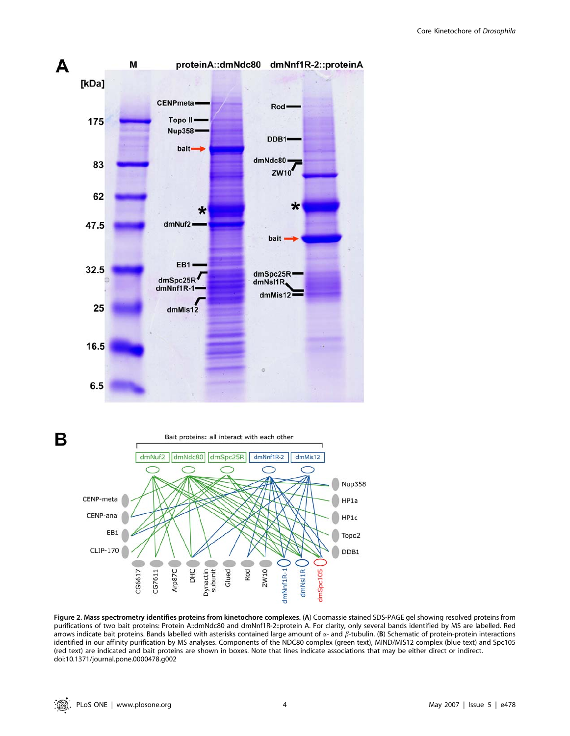



Figure 2. Mass spectrometry identifies proteins from kinetochore complexes. (A) Coomassie stained SDS-PAGE gel showing resolved proteins from purifications of two bait proteins: Protein A::dmNdc80 and dmNnf1R-2::protein A. For clarity, only several bands identified by MS are labelled. Red arrows indicate bait proteins. Bands labelled with asterisks contained large amount of  $\alpha$ - and  $\beta$ -tubulin. (B) Schematic of protein-protein interactions identified in our affinity purification by MS analyses. Components of the NDC80 complex (green text), MIND/MIS12 complex (blue text) and Spc105 (red text) are indicated and bait proteins are shown in boxes. Note that lines indicate associations that may be either direct or indirect. doi:10.1371/journal.pone.0000478.g002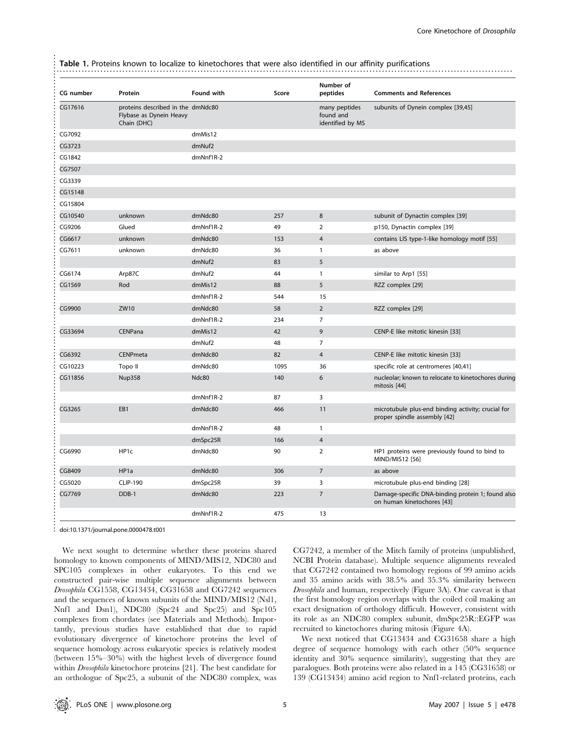Table 1. Proteins known to localize to kinetochores that were also identified in our affinity purifications

| CG number | Protein                                                                     | <b>Found with</b>  | Score | Number of<br>peptides                          | <b>Comments and References</b>                                                     |
|-----------|-----------------------------------------------------------------------------|--------------------|-------|------------------------------------------------|------------------------------------------------------------------------------------|
| CG17616   | proteins described in the dmNdc80<br>Flybase as Dynein Heavy<br>Chain (DHC) |                    |       | many peptides<br>found and<br>identified by MS | subunits of Dynein complex [39,45]                                                 |
| CG7092    |                                                                             | dmMis12            |       |                                                |                                                                                    |
| CG3723    |                                                                             | dmNuf2             |       |                                                |                                                                                    |
| CG1842    |                                                                             | dmNnf1R-2          |       |                                                |                                                                                    |
| CG7507    |                                                                             |                    |       |                                                |                                                                                    |
| CG3339    |                                                                             |                    |       |                                                |                                                                                    |
| CG15148   |                                                                             |                    |       |                                                |                                                                                    |
| CG15804   |                                                                             |                    |       |                                                |                                                                                    |
| CG10540   | unknown                                                                     | dmNdc80            | 257   | 8                                              | subunit of Dynactin complex [39]                                                   |
| CG9206    | Glued                                                                       | dmNnf1R-2          | 49    | $\overline{2}$                                 | p150, Dynactin complex [39]                                                        |
| CG6617    | unknown                                                                     | dmNdc80            | 153   | $\overline{4}$                                 | contains LIS type-1-like homology motif [55]                                       |
| CG7611    | unknown                                                                     | dmNdc80            | 36    | 1                                              | as above                                                                           |
|           |                                                                             | dmNuf <sub>2</sub> | 83    | 5                                              |                                                                                    |
| CG6174    | Arp87C                                                                      | dmNuf2             | 44    | $\mathbf{1}$                                   | similar to Arp1 [55]                                                               |
| CG1569    | Rod                                                                         | dmMis12            | 88    | 5                                              | RZZ complex [29]                                                                   |
|           |                                                                             | dmNnf1R-2          | 544   | 15                                             |                                                                                    |
| CG9900    | ZW10                                                                        | dmNdc80            | 58    | $\overline{2}$                                 | RZZ complex [29]                                                                   |
|           |                                                                             | $dmNnf1R-2$        | 234   | $\overline{7}$                                 |                                                                                    |
| CG33694   | CENPana                                                                     | dmMis12            | 42    | 9                                              | CENP-E like mitotic kinesin [33]                                                   |
|           |                                                                             | dmNuf2             | 48    | 7                                              |                                                                                    |
| CG6392    | CENPmeta                                                                    | dmNdc80            | 82    | $\overline{4}$                                 | CENP-E like mitotic kinesin [33]                                                   |
| CG10223   | Topo II                                                                     | dmNdc80            | 1095  | 36                                             | specific role at centromeres [40,41]                                               |
| CG11856   | <b>Nup358</b>                                                               | Ndc80              | 140   | 6                                              | nucleolar; known to relocate to kinetochores during<br>mitosis [44]                |
|           |                                                                             | $dmNnf1R-2$        | 87    | 3                                              |                                                                                    |
| CG3265    | EB1                                                                         | dmNdc80            | 466   | 11                                             | microtubule plus-end binding activity; crucial for<br>proper spindle assembly [42] |
|           |                                                                             | dmNnf1R-2          | 48    | 1                                              |                                                                                    |
|           |                                                                             | dmSpc25R           | 166   | $\overline{4}$                                 |                                                                                    |
| CG6990    | HP1c                                                                        | dmNdc80            | 90    | $\overline{2}$                                 | HP1 proteins were previously found to bind to<br>MIND/MIS12 [56]                   |
| CG8409    | HP1a                                                                        | dmNdc80            | 306   | $\overline{7}$                                 | as above                                                                           |
| CG5020    | <b>CLIP-190</b>                                                             | dmSpc25R           | 39    | 3                                              | microtubule plus-end binding [28]                                                  |
| CG7769    | DDB-1                                                                       | dmNdc80            | 223   | $\overline{7}$                                 | Damage-specific DNA-binding protein 1; found also<br>on human kinetochores [43]    |
|           |                                                                             | dmNnf1R-2          | 475   | 13                                             |                                                                                    |

doi:10.1371/journal.pone.0000478.t001

...............................................................................................................................

..........................

We next sought to determine whether these proteins shared homology to known components of MIND/MIS12, NDC80 and SPC105 complexes in other eukaryotes. To this end we constructed pair-wise multiple sequence alignments between Drosophila CG1558, CG13434, CG31658 and CG7242 sequences and the sequences of known subunits of the MIND/MIS12 (Nsl1, Nnf1 and Dsn1), NDC80 (Spc24 and Spc25) and Spc105 complexes from chordates (see Materials and Methods). Importantly, previous studies have established that due to rapid evolutionary divergence of kinetochore proteins the level of sequence homology across eukaryotic species is relatively modest (between 15%–30%) with the highest levels of divergence found within Drosophila kinetochore proteins [21]. The best candidate for an orthologue of Spc25, a subunit of the NDC80 complex, was CG7242, a member of the Mitch family of proteins (unpublished, NCBI Protein database). Multiple sequence alignments revealed that CG7242 contained two homology regions of 99 amino acids and 35 amino acids with 38.5% and 35.3% similarity between Drosophila and human, respectively (Figure 3A). One caveat is that the first homology region overlaps with the coiled coil making an exact designation of orthology difficult. However, consistent with its role as an NDC80 complex subunit, dmSpc25R::EGFP was recruited to kinetochores during mitosis (Figure 4A).

We next noticed that CG13434 and CG31658 share a high degree of sequence homology with each other (50% sequence identity and 30% sequence similarity), suggesting that they are paralogues. Both proteins were also related in a 145 (CG31658) or 139 (CG13434) amino acid region to Nnf1-related proteins, each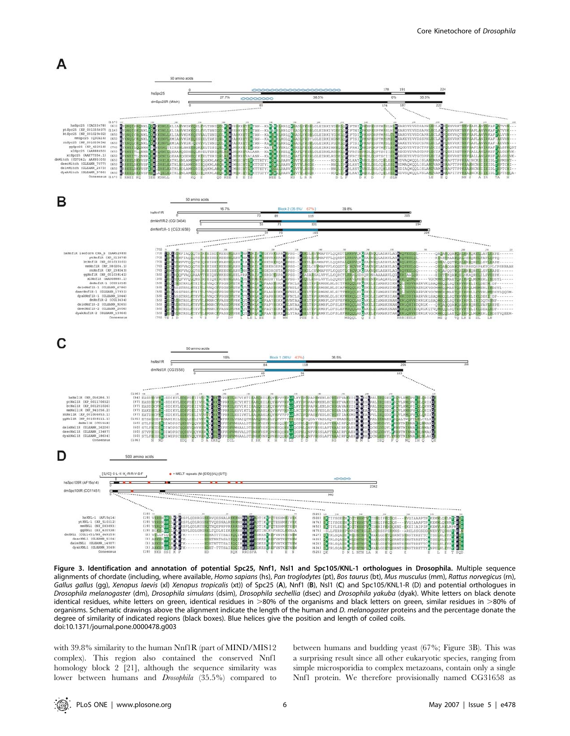

Figure 3. Identification and annotation of potential Spc25, Nnf1, Nsl1 and Spc105/KNL-1 orthologues in Drosophila. Multiple sequence alignments of chordate (including, where available, Homo sapians (hs), Pan troglodytes (pt), Bos taurus (bt), Mus musculus (mm), Rattus norvegicus (rn), Gallus gallus (gg), Xenopus laevis (xl) Xenopus tropicalis (xt)) of Spc25 (A), Nnf1 (B), Nsl1 (C) and Spc105/KNL1-R (D) and potential orthologues in Drosophila melanogaster (dm), Drosophila simulans (dsim), Drosophila sechellia (dsec) and Drosophila yakuba (dyak). White letters on black denote identical residues, white letters on green, identical residues in >80% of the organisms and black letters on green, similar residues in >80% of organisms. Schematic drawings above the alignment indicate the length of the human and D. melanogaster proteins and the percentage donate the degree of similarity of indicated regions (black boxes). Blue helices give the position and length of coiled coils. doi:10.1371/journal.pone.0000478.g003

with 39.8% similarity to the human Nnf1R (part of MIND/MIS12 complex). This region also contained the conserved Nnf1 homology block 2 [21], although the sequence similarity was lower between humans and Drosophila (35.5%) compared to between humans and budding yeast (67%; Figure 3B). This was a surprising result since all other eukaryotic species, ranging from simple microsporidia to complex metazoans, contain only a single Nnf1 protein. We therefore provisionally named CG31658 as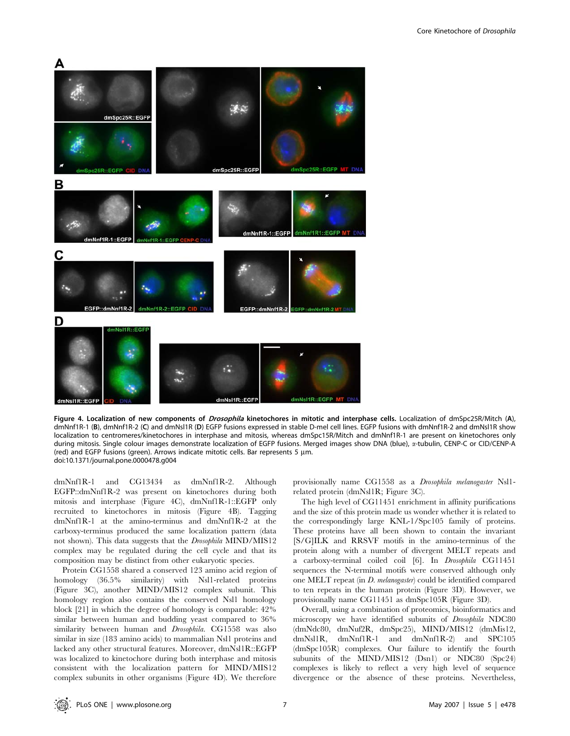

Figure 4. Localization of new components of Drosophila kinetochores in mitotic and interphase cells. Localization of dmSpc25R/Mitch (A), dmNnf1R-1 (B), dmNnf1R-2 (C) and dmNsl1R (D) EGFP fusions expressed in stable D-mel cell lines. EGFP fusions with dmNnf1R-2 and dmNsl1R show localization to centromeres/kinetochores in interphase and mitosis, whereas dmSpc15R/Mitch and dmNnf1R-1 are present on kinetochores only during mitosis. Single colour images demonstrate localization of EGFP fusions. Merged images show DNA (blue), a-tubulin, CENP-C or CID/CENP-A (red) and EGFP fusions (green). Arrows indicate mitotic cells. Bar represents 5  $\mu$ m. doi:10.1371/journal.pone.0000478.g004

dmNnf1R-1 and CG13434 as dmNnf1R-2. Although EGFP::dmNnf1R-2 was present on kinetochores during both mitosis and interphase (Figure 4C), dmNnf1R-1::EGFP only recruited to kinetochores in mitosis (Figure 4B). Tagging dmNnf1R-1 at the amino-terminus and dmNnf1R-2 at the carboxy-terminus produced the same localization pattern (data not shown). This data suggests that the Drosophila MIND/MIS12 complex may be regulated during the cell cycle and that its composition may be distinct from other eukaryotic species.

Protein CG1558 shared a conserved 123 amino acid region of homology (36.5% similarity) with Nsl1-related proteins (Figure 3C), another MIND/MIS12 complex subunit. This homology region also contains the conserved Nsl1 homology block [21] in which the degree of homology is comparable: 42% similar between human and budding yeast compared to 36% similarity between human and Drosophila. CG1558 was also similar in size (183 amino acids) to mammalian Nsl1 proteins and lacked any other structural features. Moreover, dmNsl1R::EGFP was localized to kinetochore during both interphase and mitosis consistent with the localization pattern for MIND/MIS12 complex subunits in other organisms (Figure 4D). We therefore

provisionally name CG1558 as a Drosophila melanogaster Nsl1 related protein (dmNsl1R; Figure 3C).

The high level of CG11451 enrichment in affinity purifications and the size of this protein made us wonder whether it is related to the correspondingly large KNL-1/Spc105 family of proteins. These proteins have all been shown to contain the invariant [S/G]ILK and RRSVF motifs in the amino-terminus of the protein along with a number of divergent MELT repeats and a carboxy-terminal coiled coil [6]. In Drosophila CG11451 sequences the N-terminal motifs were conserved although only one MELT repeat (in D. melanogaster) could be identified compared to ten repeats in the human protein (Figure 3D). However, we provisionally name CG11451 as dmSpc105R (Figure 3D).

Overall, using a combination of proteomics, bioinformatics and microscopy we have identified subunits of Drosophila NDC80 (dmNdc80, dmNuf2R, dmSpc25), MIND/MIS12 (dmMis12, dmNsl1R, dmNnf1R-1 and dmNnf1R-2) and SPC105 (dmSpc105R) complexes. Our failure to identify the fourth subunits of the MIND/MIS12 (Dsn1) or NDC80 (Spc24) complexes is likely to reflect a very high level of sequence divergence or the absence of these proteins. Nevertheless,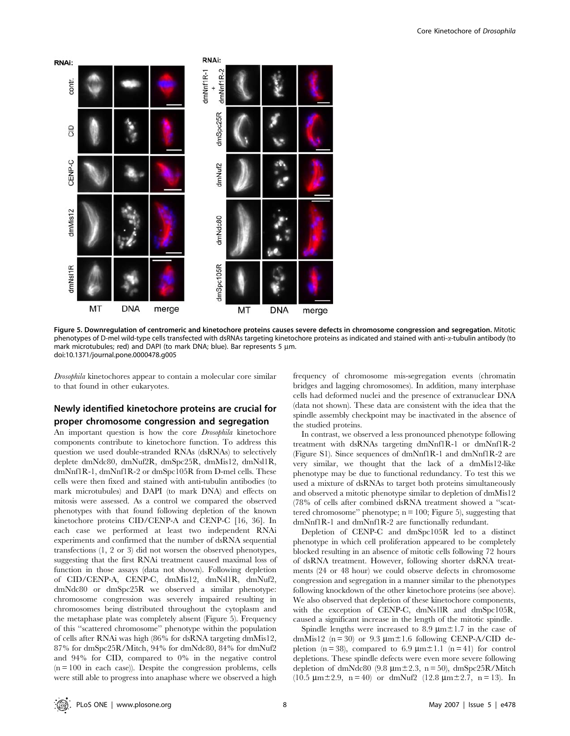

Figure 5. Downregulation of centromeric and kinetochore proteins causes severe defects in chromosome congression and segregation. Mitotic phenotypes of D-mel wild-type cells transfected with dsRNAs targeting kinetochore proteins as indicated and stained with anti-a-tubulin antibody (to mark microtubules; red) and DAPI (to mark DNA; blue). Bar represents 5 µm. doi:10.1371/journal.pone.0000478.g005

Drosophila kinetochores appear to contain a molecular core similar to that found in other eukaryotes.

# Newly identified kinetochore proteins are crucial for proper chromosome congression and segregation

An important question is how the core Drosophila kinetochore components contribute to kinetochore function. To address this question we used double-stranded RNAs (dsRNAs) to selectively deplete dmNdc80, dmNuf2R, dmSpc25R, dmMis12, dmNsl1R, dmNnf1R-1, dmNnf1R-2 or dmSpc105R from D-mel cells. These cells were then fixed and stained with anti-tubulin antibodies (to mark microtubules) and DAPI (to mark DNA) and effects on mitosis were assessed. As a control we compared the observed phenotypes with that found following depletion of the known kinetochore proteins CID/CENP-A and CENP-C [16, 36]. In each case we performed at least two independent RNAi experiments and confirmed that the number of dsRNA sequential transfections (1, 2 or 3) did not worsen the observed phenotypes, suggesting that the first RNAi treatment caused maximal loss of function in those assays (data not shown). Following depletion of CID/CENP-A, CENP-C, dmMis12, dmNsl1R, dmNuf2, dmNdc80 or dmSpc25R we observed a similar phenotype: chromosome congression was severely impaired resulting in chromosomes being distributed throughout the cytoplasm and the metaphase plate was completely absent (Figure 5). Frequency of this ''scattered chromosome'' phenotype within the population of cells after RNAi was high (86% for dsRNA targeting dmMis12, 87% for dmSpc25R/Mitch, 94% for dmNdc80, 84% for dmNuf2 and 94% for CID, compared to 0% in the negative control  $(n = 100$  in each case)). Despite the congression problems, cells were still able to progress into anaphase where we observed a high frequency of chromosome mis-segregation events (chromatin bridges and lagging chromosomes). In addition, many interphase cells had deformed nuclei and the presence of extranuclear DNA (data not shown). These data are consistent with the idea that the spindle assembly checkpoint may be inactivated in the absence of the studied proteins.

In contrast, we observed a less pronounced phenotype following treatment with dsRNAs targeting dmNnf1R-1 or dmNnf1R-2 (Figure S1). Since sequences of dmNnf1R-1 and dmNnf1R-2 are very similar, we thought that the lack of a dmMis12-like phenotype may be due to functional redundancy. To test this we used a mixture of dsRNAs to target both proteins simultaneously and observed a mitotic phenotype similar to depletion of dmMis12 (78% of cells after combined dsRNA treatment showed a ''scattered chromosome" phenotype;  $n = 100$ ; Figure 5), suggesting that dmNnf1R-1 and dmNnf1R-2 are functionally redundant.

Depletion of CENP-C and dmSpc105R led to a distinct phenotype in which cell proliferation appeared to be completely blocked resulting in an absence of mitotic cells following 72 hours of dsRNA treatment. However, following shorter dsRNA treatments (24 or 48 hour) we could observe defects in chromosome congression and segregation in a manner similar to the phenotypes following knockdown of the other kinetochore proteins (see above). We also observed that depletion of these kinetochore components, with the exception of CENP-C, dmNs1lR and dmSpc105R, caused a significant increase in the length of the mitotic spindle.

Spindle lengths were increased to 8.9  $\mu$ m $\pm$ 1.7 in the case of dmMis12 ( $n = 30$ ) or 9.3  $\mu$ m $\pm$ 1.6 following CENP-A/CID depletion (n = 38), compared to 6.9  $\mu$ m $\pm$ 1.1 (n = 41) for control depletions. These spindle defects were even more severe following depletion of dmNdc80 (9.8  $\mu$ m $\pm$ 2.3, n = 50), dmSpc25R/Mitch (10.5  $\mu$ m ± 2.9, n = 40) or dmNuf2 (12.8  $\mu$ m ± 2.7, n = 13). In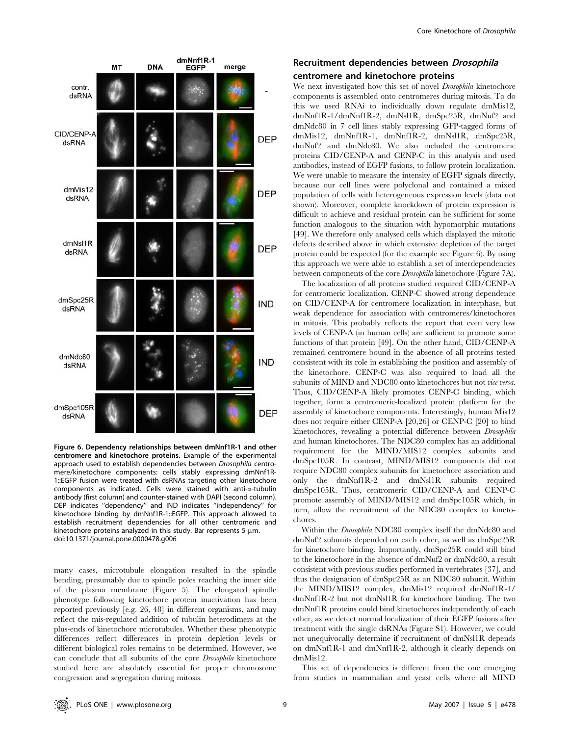

Figure 6. Dependency relationships between dmNnf1R-1 and other centromere and kinetochore proteins. Example of the experimental approach used to establish dependencies between Drosophila centromere/kinetochore components: cells stably expressing dmNnf1R-1::EGFP fusion were treated with dsRNAs targeting other kinetochore components as indicated. Cells were stained with anti- $\alpha$ -tubulin antibody (first column) and counter-stained with DAPI (second column). DEP indicates ''dependency'' and IND indicates ''independency'' for kinetochore binding by dmNnf1R-1::EGFP. This approach allowed to establish recruitment dependencies for all other centromeric and kinetochore proteins analyzed in this study. Bar represents 5  $\mu$ m. doi:10.1371/journal.pone.0000478.g006

many cases, microtubule elongation resulted in the spindle bending, presumably due to spindle poles reaching the inner side of the plasma membrane (Figure 5). The elongated spindle phenotype following kinetochore protein inactivation has been reported previously [e.g. 26, 48] in different organisms, and may reflect the mis-regulated addition of tubulin heterodimers at the plus-ends of kinetochore microtubules. Whether these phenotypic differences reflect differences in protein depletion levels or different biological roles remains to be determined. However, we can conclude that all subunits of the core Drosophila kinetochore studied here are absolutely essential for proper chromosome congression and segregation during mitosis.

## Recruitment dependencies between Drosophila centromere and kinetochore proteins

We next investigated how this set of novel *Drosophila* kinetochore components is assembled onto centromeres during mitosis. To do this we used RNAi to individually down regulate dmMis12, dmNnf1R-1/dmNnf1R-2, dmNsl1R, dmSpc25R, dmNuf2 and dmNdc80 in 7 cell lines stably expressing GFP-tagged forms of dmMis12, dmNnf1R-1, dmNnf1R-2, dmNsl1R, dmSpc25R, dmNuf2 and dmNdc80. We also included the centromeric proteins CID/CENP-A and CENP-C in this analysis and used antibodies, instead of EGFP fusions, to follow protein localization. We were unable to measure the intensity of EGFP signals directly, because our cell lines were polyclonal and contained a mixed population of cells with heterogeneous expression levels (data not shown). Moreover, complete knockdown of protein expression is difficult to achieve and residual protein can be sufficient for some function analogous to the situation with hypomorphic mutations [49]. We therefore only analysed cells which displayed the mitotic defects described above in which extensive depletion of the target protein could be expected (for the example see Figure 6). By using this approach we were able to establish a set of interdependencies between components of the core Drosophila kinetochore (Figure 7A).

The localization of all proteins studied required CID/CENP-A for centromeric localization. CENP-C showed strong dependence on CID/CENP-A for centromere localization in interphase, but weak dependence for association with centromeres/kinetochores in mitosis. This probably reflects the report that even very low levels of CENP-A (in human cells) are sufficient to promote some functions of that protein [49]. On the other hand, CID/CENP-A remained centromere bound in the absence of all proteins tested consistent with its role in establishing the position and assembly of the kinetochore. CENP-C was also required to load all the subunits of MIND and NDC80 onto kinetochores but not *vice versa*. Thus, CID/CENP-A likely promotes CENP-C binding, which together, form a centromeric-localized protein platform for the assembly of kinetochore components. Interestingly, human Mis12 does not require either CENP-A [20,26] or CENP-C [20] to bind kinetochores, revealing a potential difference between Drosophila and human kinetochores. The NDC80 complex has an additional requirement for the MIND/MIS12 complex subunits and dmSpc105R. In contrast, MIND/MIS12 components did not require NDC80 complex subunits for kinetochore association and only the dmNnf1R-2 and dmNsl1R subunits required dmSpc105R. Thus, centromeric CID/CENP-A and CENP-C promote assembly of MIND/MIS12 and dmSpc105R which, in turn, allow the recruitment of the NDC80 complex to kinetochores.

Within the *Drosophila* NDC80 complex itself the dmNdc80 and dmNuf2 subunits depended on each other, as well as dmSpc25R for kinetochore binding. Importantly, dmSpc25R could still bind to the kinetochore in the absence of dmNuf2 or dmNdc80, a result consistent with previous studies performed in vertebrates [37], and thus the designation of dmSpc25R as an NDC80 subunit. Within the MIND/MIS12 complex, dmMis12 required dmNnf1R-1/ dmNnf1R-2 but not dmNsl1R for kinetochore binding. The two dmNnf1R proteins could bind kinetochores independently of each other, as we detect normal localization of their EGFP fusions after treatment with the single dsRNAs (Figure S1). However, we could not unequivocally determine if recruitment of dmNsl1R depends on dmNnf1R-1 and dmNnf1R-2, although it clearly depends on dmMis12.

This set of dependencies is different from the one emerging from studies in mammalian and yeast cells where all MIND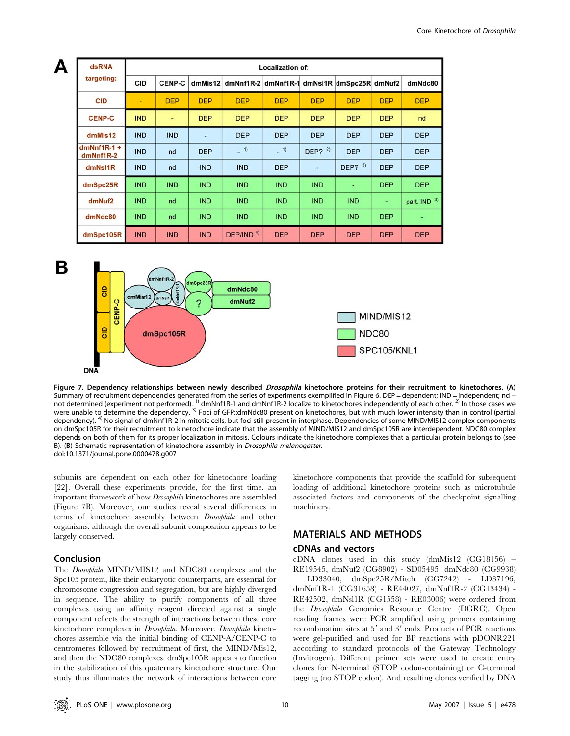| dsRNA                        | <b>Localization of:</b> |               |            |                                      |            |            |            |            |              |  |  |
|------------------------------|-------------------------|---------------|------------|--------------------------------------|------------|------------|------------|------------|--------------|--|--|
| targeting:                   | CID                     | <b>CENP-C</b> | dmMis12    | dmNnf1R-2 dmNnf1R-1 dmNsI1R dmSpc25R |            |            |            | dmNuf2     | dmNdc80      |  |  |
| <b>CID</b>                   | ٠                       | <b>DEP</b>    | <b>DEP</b> | <b>DEP</b>                           | <b>DEP</b> | <b>DEP</b> | <b>DEP</b> | <b>DEP</b> | <b>DEP</b>   |  |  |
| <b>CENP-C</b>                | <b>IND</b>              | ٠             | <b>DEP</b> | <b>DEP</b>                           | <b>DEP</b> | <b>DEP</b> | <b>DEP</b> | <b>DEP</b> | nd           |  |  |
| dmMis12                      | <b>IND</b>              | <b>IND</b>    | ٠          | <b>DEP</b>                           | <b>DEP</b> | <b>DEP</b> | <b>DEP</b> | <b>DEP</b> | <b>DEP</b>   |  |  |
| $dmNnf1R-1 +$<br>$dmNnf1R-2$ | <b>IND</b>              | nd            | <b>DEP</b> | $-1$                                 | $-1)$      | DEP? $2)$  | <b>DEP</b> | <b>DEP</b> | <b>DEP</b>   |  |  |
| dmNsI1R                      | <b>IND</b>              | nd            | <b>IND</b> | <b>IND</b>                           | <b>DEP</b> | ٠          | DEP? $2)$  | <b>DEP</b> | <b>DEP</b>   |  |  |
| dmSpc25R                     | <b>IND</b>              | <b>IND</b>    | <b>IND</b> | <b>IND</b>                           | <b>IND</b> | <b>IND</b> | ٠          | <b>DEP</b> | <b>DEP</b>   |  |  |
| dmNuf2                       | <b>IND</b>              | nd            | <b>IND</b> | <b>IND</b>                           | <b>IND</b> | <b>IND</b> | <b>IND</b> | ٠          | part. IND 3) |  |  |
| dmNdc80                      | <b>IND</b>              | nd            | <b>IND</b> | <b>IND</b>                           | <b>IND</b> | <b>IND</b> | <b>IND</b> | <b>DEP</b> | ٠            |  |  |
| dmSpc105R                    | <b>IND</b>              | <b>IND</b>    | <b>IND</b> | DEP/IND <sup>4)</sup>                | <b>DEP</b> | <b>DEP</b> | <b>DEP</b> | <b>DEP</b> | <b>DEP</b>   |  |  |



Figure 7. Dependency relationships between newly described Drosophila kinetochore proteins for their recruitment to kinetochores. (A) Summary of recruitment dependencies generated from the series of experiments exemplified in Figure 6. DEP = dependent; IND = independent; nd – not determined (experiment not performed). <sup>1)</sup> dmNnf1R-1 and dmNnf1R-2 localize to kinetochores independently of each other. <sup>2)</sup> In those cases we were unable to determine the dependency. <sup>3)</sup> Foci of GFP::dmNdc80 present on kinetochores, but with much lower intensity than in control (partial dependency). 4) No signal of dmNnf1R-2 in mitotic cells, but foci still present in interphase. Dependencies of some MIND/MIS12 complex components on dmSpc105R for their recruitment to kinetochore indicate that the assembly of MIND/MIS12 and dmSpc105R are interdependent. NDC80 complex depends on both of them for its proper localization in mitosis. Colours indicate the kinetochore complexes that a particular protein belongs to (see B). (B) Schematic representation of kinetochore assembly in Drosophila melanogaster. doi:10.1371/journal.pone.0000478.g007

subunits are dependent on each other for kinetochore loading [22]. Overall these experiments provide, for the first time, an important framework of how Drosophila kinetochores are assembled (Figure 7B). Moreover, our studies reveal several differences in terms of kinetochore assembly between Drosophila and other organisms, although the overall subunit composition appears to be largely conserved.

## Conclusion

The Drosophila MIND/MIS12 and NDC80 complexes and the Spc105 protein, like their eukaryotic counterparts, are essential for chromosome congression and segregation, but are highly diverged in sequence. The ability to purify components of all three complexes using an affinity reagent directed against a single component reflects the strength of interactions between these core kinetochore complexes in Drosophila. Moreover, Drosophila kinetochores assemble via the initial binding of CENP-A/CENP-C to centromeres followed by recruitment of first, the MIND/Mis12, and then the NDC80 complexes. dmSpc105R appears to function in the stabilization of this quaternary kinetochore structure. Our study thus illuminates the network of interactions between core

kinetochore components that provide the scaffold for subsequent loading of additional kinetochore proteins such as microtubule associated factors and components of the checkpoint signalling machinery.

## MATERIALS AND METHODS

## cDNAs and vectors

cDNA clones used in this study (dmMis12 (CG18156) – RE19545, dmNuf2 (CG8902) - SD05495, dmNdc80 (CG9938) – LD33040, dmSpc25R/Mitch (CG7242) - LD37196, dmNnf1R-1 (CG31658) - RE44027, dmNnf1R-2 (CG13434) - RE42502, dmNsl1R (CG1558) - RE03006) were ordered from the Drosophila Genomics Resource Centre (DGRC). Open reading frames were PCR amplified using primers containing recombination sites at  $5'$  and  $3'$  ends. Products of PCR reactions were gel-purified and used for BP reactions with pDONR221 according to standard protocols of the Gateway Technology (Invitrogen). Different primer sets were used to create entry clones for N-terminal (STOP codon-containing) or C-terminal tagging (no STOP codon). And resulting clones verified by DNA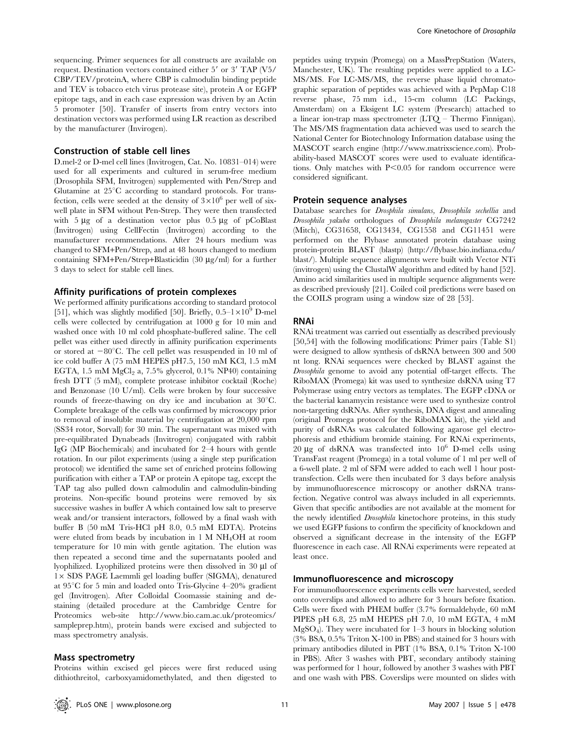sequencing. Primer sequences for all constructs are available on request. Destination vectors contained either  $5'$  or  $3'$  TAP (V5/ CBP/TEV/proteinA, where CBP is calmodulin binding peptide and TEV is tobacco etch virus protease site), protein A or EGFP epitope tags, and in each case expression was driven by an Actin 5 promoter [50]. Transfer of inserts from entry vectors into destination vectors was performed using LR reaction as described by the manufacturer (Invirogen).

#### Construction of stable cell lines

D.mel-2 or D-mel cell lines (Invitrogen, Cat. No. 10831–014) were used for all experiments and cultured in serum-free medium (Drosophila SFM, Invitrogen) supplemented with Pen/Strep and Glutamine at  $25^{\circ}$ C according to standard protocols. For transfection, cells were seeded at the density of  $3\times10^6$  per well of sixwell plate in SFM without Pen-Strep. They were then transfected with  $5 \mu$ g of a destination vector plus  $0.5 \mu$ g of pCoBlast (Invitrogen) using CellFectin (Invitrogen) according to the manufacturer recommendations. After 24 hours medium was changed to SFM+Pen/Strep, and at 48 hours changed to medium containing SFM+Pen/Strep+Blasticidin  $(30 \mu g/ml)$  for a further 3 days to select for stable cell lines.

#### Affinity purifications of protein complexes

We performed affinity purifications according to standard protocol [51], which was slightly modified [50]. Briefly,  $0.5-1\times10^9$  D-mel cells were collected by centrifugation at 1000 g for 10 min and washed once with 10 ml cold phosphate-buffered saline. The cell pellet was either used directly in affinity purification experiments or stored at  $-80^{\circ}$ C. The cell pellet was resuspended in 10 ml of ice cold buffer A (75 mM HEPES pH7.5, 150 mM KCl, 1.5 mM EGTA, 1.5 mM  $MgCl<sub>2</sub>$  a, 7.5% glycerol, 0.1% NP40) containing fresh DTT (5 mM), complete protease inhibitor cocktail (Roche) and Benzonase (10 U/ml). Cells were broken by four successive rounds of freeze-thawing on dry ice and incubation at  $30^{\circ}$ C. Complete breakage of the cells was confirmed by microscopy prior to removal of insoluble material by centrifugation at 20,000 rpm (SS34 rotor, Sorvall) for 30 min. The supernatant was mixed with pre-equilibrated Dynabeads (Invitrogen) conjugated with rabbit IgG (MP Biochemicals) and incubated for 2–4 hours with gentle rotation. In our pilot experiments (using a single step purification protocol) we identified the same set of enriched proteins following purification with either a TAP or protein A epitope tag, except the TAP tag also pulled down calmodulin and calmodulin-binding proteins. Non-specific bound proteins were removed by six successive washes in buffer A which contained low salt to preserve weak and/or transient interactors, followed by a final wash with buffer B (50 mM Tris-HCl pH 8.0, 0.5 mM EDTA). Proteins were eluted from beads by incubation in 1 M NH4OH at room temperature for 10 min with gentle agitation. The elution was then repeated a second time and the supernatants pooled and lyophilized. Lyophilized proteins were then dissolved in 30 µl of  $1\times$  SDS PAGE Laemmli gel loading buffer (SIGMA), denatured at  $95^{\circ}$ C for 5 min and loaded onto Tris-Glycine 4–20% gradient gel (Invitrogen). After Colloidal Coomassie staining and destaining (detailed procedure at the Cambridge Centre for Proteomics web-site http://www.bio.cam.ac.uk/proteomics/ sampleprep.htm), protein bands were excised and subjected to mass spectrometry analysis.

#### Mass spectrometry

Proteins within excised gel pieces were first reduced using dithiothreitol, carboxyamidomethylated, and then digested to peptides using trypsin (Promega) on a MassPrepStation (Waters, Manchester, UK). The resulting peptides were applied to a LC-MS/MS. For LC-MS/MS, the reverse phase liquid chromatographic separation of peptides was achieved with a PepMap C18 reverse phase, 75 mm i.d., 15-cm column (LC Packings, Amsterdam) on a Eksigent LC system (Presearch) attached to a linear ion-trap mass spectrometer (LTQ – Thermo Finnigan). The MS/MS fragmentation data achieved was used to search the National Center for Biotechnology Information database using the MASCOT search engine (http://www.matrixscience.com). Probability-based MASCOT scores were used to evaluate identifications. Only matches with  $P<0.05$  for random occurrence were considered significant.

#### Protein sequence analyses

Database searches for Drosphila simulans, Drosophila sechellia and Drosophila yakuba orthologues of Drosophila melanogaster CG7242 (Mitch), CG31658, CG13434, CG1558 and CG11451 were performed on the Flybase annotated protein database using protein-protein BLAST (blastp) (http://flybase.bio.indiana.edu/ blast/). Multiple sequence alignments were built with Vector NTi (invitrogen) using the ClustalW algorithm and edited by hand [52]. Amino acid similarities used in multiple sequence alignments were as described previously [21]. Coiled coil predictions were based on the COILS program using a window size of 28 [53].

#### RNAi

RNAi treatment was carried out essentially as described previously [50,54] with the following modifications: Primer pairs (Table S1) were designed to allow synthesis of dsRNA between 300 and 500 nt long. RNAi sequences were checked by BLAST against the Drosophila genome to avoid any potential off-target effects. The RiboMAX (Promega) kit was used to synthesize dsRNA using T7 Polymerase using entry vectors as templates. The EGFP cDNA or the bacterial kanamycin resistance were used to synthesize control non-targeting dsRNAs. After synthesis, DNA digest and annealing (original Promega protocol for the RiboMAX kit), the yield and purity of dsRNAs was calculated following agarose gel electrophoresis and ethidium bromide staining. For RNAi experiments,  $20 \mu g$  of dsRNA was transfected into  $10^6$  D-mel cells using TransFast reagent (Promega) in a total volume of 1 ml per well of a 6-well plate. 2 ml of SFM were added to each well 1 hour posttransfection. Cells were then incubated for 3 days before analysis by immunofluorescence microscopy or another dsRNA transfection. Negative control was always included in all experiemnts. Given that specific antibodies are not available at the moment for the newly identified Drosophila kinetochore proteins, in this study we used EGFP fusions to confirm the specificity of knockdown and observed a significant decrease in the intensity of the EGFP fluorescence in each case. All RNAi experiments were repeated at least once.

#### Immunofluorescence and microscopy

For immunofluorescence experiments cells were harvested, seeded onto coverslips and allowed to adhere for 3 hours before fixation. Cells were fixed with PHEM buffer (3.7% formaldehyde, 60 mM PIPES pH 6.8, 25 mM HEPES pH 7.0, 10 mM EGTA, 4 mM  $MgSO<sub>4</sub>$ ). They were incubated for  $1-3$  hours in blocking solution (3% BSA, 0.5% Triton X-100 in PBS) and stained for 3 hours with primary antibodies diluted in PBT (1% BSA, 0.1% Triton X-100 in PBS). After 3 washes with PBT, secondary antibody staining was performed for 1 hour, followed by another 3 washes with PBT and one wash with PBS. Coverslips were mounted on slides with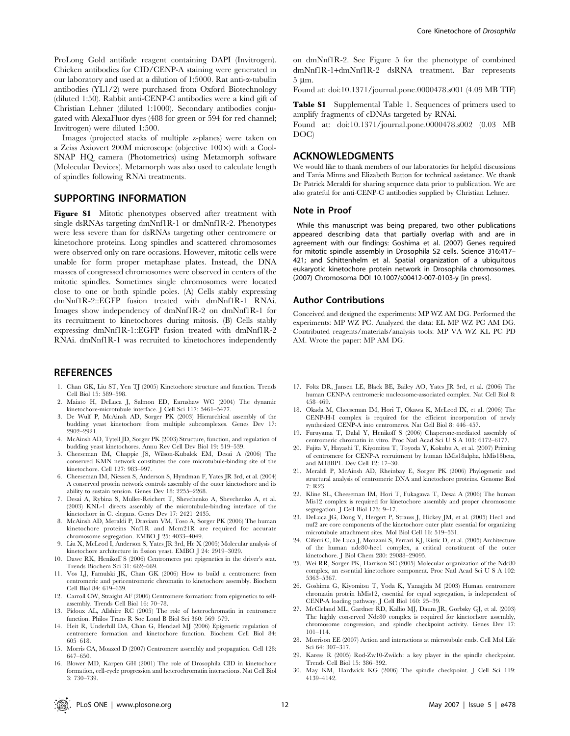ProLong Gold antifade reagent containing DAPI (Invitrogen). Chicken antibodies for CID/CENP-A staining were generated in our laboratory and used at a dilution of 1:5000. Rat anti-a-tubulin antibodies (YL1/2) were purchased from Oxford Biotechnology (diluted 1:50). Rabbit anti-CENP-C antibodies were a kind gift of Christian Lehner (diluted 1:1000). Secondary antibodies conjugated with AlexaFluor dyes (488 for green or 594 for red channel; Invitrogen) were diluted 1:500.

Images (projected stacks of multiple z-planes) were taken on a Zeiss Axiovert 200M microscope (objective  $100\times$ ) with a Cool-SNAP HQ camera (Photometrics) using Metamorph software (Molecular Devices). Metamorph was also used to calculate length of spindles following RNAi treatments.

#### SUPPORTING INFORMATION

Figure S1 Mitotic phenotypes observed after treatment with single dsRNAs targeting dmNnf1R-1 or dmNnf1R-2. Phenotypes were less severe than for dsRNAs targeting other centromere or kinetochore proteins. Long spindles and scattered chromosomes were observed only on rare occasions. However, mitotic cells were unable for form proper metaphase plates. Instead, the DNA masses of congressed chromosomes were observed in centers of the mitotic spindles. Sometimes single chromosomes were located close to one or both spindle poles. (A) Cells stably expressing dmNnf1R-2::EGFP fusion treated with dmNnf1R-1 RNAi. Images show independency of dmNnf1R-2 on dmNnf1R-1 for its recruitment to kinetochores during mitosis. (B) Cells stably expressing dmNnf1R-1::EGFP fusion treated with dmNnf1R-2 RNAi. dmNnf1R-1 was recruited to kinetochores independently

### **REFERENCES**

- 1. Chan GK, Liu ST, Yen TJ (2005) Kinetochore structure and function. Trends Cell Biol 15: 589–598.
- 2. Maiato H, DeLuca J, Salmon ED, Earnshaw WC (2004) The dynamic kinetochore-microtubule interface. J Cell Sci 117: 5461–5477.
- 3. De Wulf P, McAinsh AD, Sorger PK (2003) Hierarchical assembly of the budding yeast kinetochore from multiple subcomplexes. Genes Dev 17: 2902–2921.
- 4. McAinsh AD, Tytell JD, Sorger PK (2003) Structure, function, and regulation of budding yeast kinetochores. Annu Rev Cell Dev Biol 19: 519–539.
- 5. Cheeseman IM, Chappie JS, Wilson-Kubalek EM, Desai A (2006) The conserved KMN network constitutes the core microtubule-binding site of the kinetochore. Cell 127: 983–997.
- 6. Cheeseman IM, Niessen S, Anderson S, Hyndman F, Yates JR 3rd, et al. (2004) A conserved protein network controls assembly of the outer kinetochore and its ability to sustain tension. Genes Dev 18: 2255–2268.
- 7. Desai A, Rybina S, Muller-Reichert T, Shevchenko A, Shevchenko A, et al. (2003) KNL-1 directs assembly of the microtubule-binding interface of the kinetochore in C. elegans. Genes Dev 17: 2421–2435.
- 8. McAinsh AD, Meraldi P, Draviam VM, Toso A, Sorger PK (2006) The human kinetochore proteins Nnf1R and Mcm21R are required for accurate chromosome segregation. EMBO J 25: 4033–4049.
- 9. Liu X, McLeod I, Anderson S, Yates JR 3rd, He X (2005) Molecular analysis of kinetochore architecture in fission yeast. EMBO J 24: 2919–3029.
- 10. Dawe RK, Henikoff S (2006) Centromeres put epigenetics in the driver's seat. Trends Biochem Sci 31: 662–669.
- 11. Vos LJ, Famulski JK, Chan GK (2006) How to build a centromere: from centromeric and pericentromeric chromatin to kinetochore assembly. Biochem Cell Biol 84: 619–639.
- 12. Carroll CW, Straight AF (2006) Centromere formation: from epigenetics to selfassembly. Trends Cell Biol 16: 70–78.
- 13. Pidoux AL, Allshire RC (2005) The role of heterochromatin in centromere function. Philos Trans R Soc Lond B Biol Sci 360: 569–579.
- 14. Heit R, Underhill DA, Chan G, Hendzel MJ (2006) Epigenetic regulation of centromere formation and kinetochore function. Biochem Cell Biol 84: 605–618.
- 15. Morris CA, Moazed D (2007) Centromere assembly and propagation. Cell 128: 647–650.
- 16. Blower MD, Karpen GH (2001) The role of Drosophila CID in kinetochore formation, cell-cycle progression and heterochromatin interactions. Nat Cell Biol 3: 730–739.

on dmNnf1R-2. See Figure 5 for the phenotype of combined dmNnf1R-1+dmNnf1R-2 dsRNA treatment. Bar represents 5 mm.

Found at: doi:10.1371/journal.pone.0000478.s001 (4.09 MB TIF)

Table S1 Supplemental Table 1. Sequences of primers used to amplify fragments of cDNAs targeted by RNAi.

Found at: doi:10.1371/journal.pone.0000478.s002 (0.03 MB DOC)

## ACKNOWLEDGMENTS

We would like to thank members of our laboratories for helpful discussions and Tania Minns and Elizabeth Button for technical assistance. We thank Dr Patrick Meraldi for sharing sequence data prior to publication. We are also grateful for anti-CENP-C antibodies supplied by Christian Lehner.

#### Note in Proof

While this manuscript was being prepared, two other publications appeared describing data that partially overlap with and are in agreement with our findings: Goshima et al. (2007) Genes required for mitotic spindle assembly in Drosophila S2 cells. Science 316:417– 421; and Schittenhelm et al. Spatial organization of a ubiquitous eukaryotic kinetochore protein network in Drosophila chromosomes. (2007) Chromosoma DOI 10.1007/s00412-007-0103-y [in press].

#### Author Contributions

Conceived and designed the experiments: MP WZ AM DG. Performed the experiments: MP WZ PC. Analyzed the data: EL MP WZ PC AM DG. Contributed reagents/materials/analysis tools: MP VA WZ KL PC PD AM. Wrote the paper: MP AM DG.

- 17. Foltz DR, Jansen LE, Black BE, Bailey AO, Yates JR 3rd, et al. (2006) The human CENP-A centromeric nucleosome-associated complex. Nat Cell Biol 8: 458–469.
- 18. Okada M, Cheeseman IM, Hori T, Okawa K, McLeod IX, et al. (2006) The CENP-H-I complex is required for the efficient incorporation of newly synthesized CENP-A into centromeres. Nat Cell Biol 8: 446–457.
- 19. Furuyama T, Dalal Y, Henikoff S (2006) Chaperone-mediated assembly of centromeric chromatin in vitro. Proc Natl Acad Sci U S A 103: 6172–6177.
- 20. Fujita Y, Hayashi T, Kiyomitsu T, Toyoda Y, Kokubu A, et al. (2007) Priming of centromere for CENP-A recruitment by human hMis18alpha, hMis18beta, and M18BP1. Dev Cell 12: 17–30.
- 21. Meraldi P, McAinsh AD, Rheinbay E, Sorger PK (2006) Phylogenetic and structural analysis of centromeric DNA and kinetochore proteins. Genome Biol 7: R23.
- 22. Kline SL, Cheeseman IM, Hori T, Fukagawa T, Desai A (2006) The human Mis12 complex is required for kinetochore assembly and proper chromosome segregation. J Cell Biol 173: 9–17.
- 23. DeLuca JG, Dong Y, Hergert P, Strauss J, Hickey JM, et al. (2005) Hec1 and nuf2 are core components of the kinetochore outer plate essential for organizing microtubule attachment sites. Mol Biol Cell 16: 519–531.
- 24. Ciferri C, De Luca J, Monzani S, Ferrari KJ, Ristic D, et al. (2005) Architecture of the human ndc80-hec1 complex, a critical constituent of the outer kinetochore. J Biol Chem 280: 29088–29095.
- 25. Wei RR, Sorger PK, Harrison SC (2005) Molecular organization of the Ndc80 complex, an essential kinetochore component. Proc Natl Acad Sci U S A 102: 5363–5367.
- 26. Goshima G, Kiyomitsu T, Yoda K, Yanagida M (2003) Human centromere chromatin protein hMis12, essential for equal segregation, is independent of CENP-A loading pathway. J Cell Biol 160: 25–39.
- 27. McCleland ML, Gardner RD, Kallio MJ, Daum JR, Gorbsky GJ, et al. (2003) The highly conserved Ndc80 complex is required for kinetochore assembly, chromosome congression, and spindle checkpoint activity. Genes Dev 17: 101–114.
- 28. Morrison EE (2007) Action and interactions at microtubule ends. Cell Mol Life Sci 64: 307–317.
- 29. Karess R (2005) Rod-Zw10-Zwilch: a key player in the spindle checkpoint. Trends Cell Biol 15: 386–392.
- 30. May KM, Hardwick KG (2006) The spindle checkpoint. J Cell Sci 119: 4139–4142.